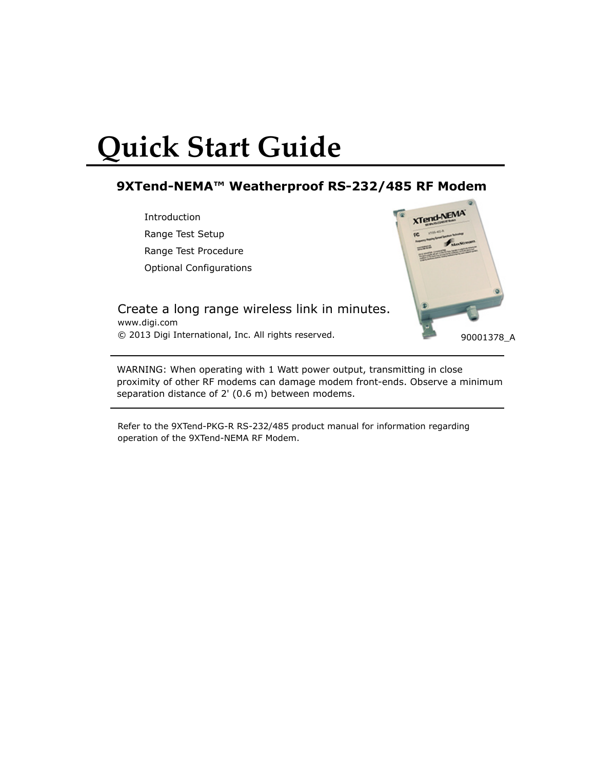# **Quick Start Guide**

# **9XTend-NEMA™ Weatherproof RS-232/485 RF Modem**

Introduction Range Test Setup Range Test Procedure Optional Configurations



www.digi.com © 2013 Digi International, Inc. All rights reserved. 90001378\_A Create a long range wireless link in minutes.

WARNING: When operating with 1 Watt power output, transmitting in close proximity of other RF modems can damage modem front-ends. Observe a minimum separation distance of 2' (0.6 m) between modems.

Refer to the 9XTend-PKG-R RS-232/485 product manual for information regarding operation of the 9XTend-NEMA RF Modem.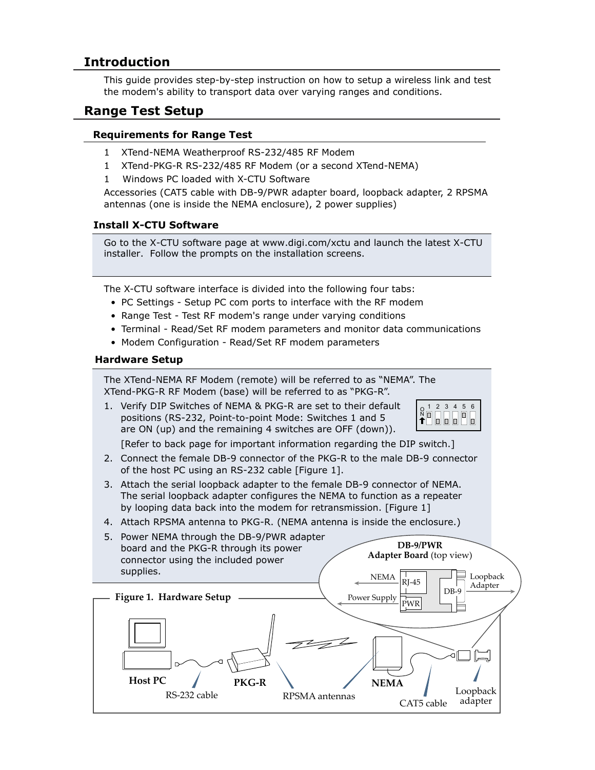# **Introduction**

This guide provides step-by-step instruction on how to setup a wireless link and test the modem's ability to transport data over varying ranges and conditions.

## **Range Test Setup**

## **Requirements for Range Test**

- 1 XTend-NEMA Weatherproof RS-232/485 RF Modem
- 1 XTend-PKG-R RS-232/485 RF Modem (or a second XTend-NEMA)
- 1 Windows PC loaded with X-CTU Software

Accessories (CAT5 cable with DB-9/PWR adapter board, loopback adapter, 2 RPSMA antennas (one is inside the NEMA enclosure), 2 power supplies)

## **Install X-CTU Software**

Go to the X-CTU software page at www.digi.com/xctu and launch the latest X-CTU installer. Follow the prompts on the installation screens.

The X-CTU software interface is divided into the following four tabs:

- PC Settings Setup PC com ports to interface with the RF modem
- Range Test Test RF modem's range under varying conditions
- Terminal Read/Set RF modem parameters and monitor data communications
- Modem Configuration Read/Set RF modem parameters

#### **Hardware Setup**

The XTend-NEMA RF Modem (remote) will be referred to as "NEMA". The XTend-PKG-R RF Modem (base) will be referred to as "PKG-R".

1. Verify DIP Switches of NEMA & PKG-R are set to their default positions (RS-232, Point-to-point Mode: Switches 1 and 5 are ON (up) and the remaining 4 switches are OFF (down)).

[Refer to back page for important information regarding the DIP switch.]

- 2. Connect the female DB-9 connector of the PKG-R to the male DB-9 connector of the host PC using an RS-232 cable [Figure 1].
- 3. Attach the serial loopback adapter to the female DB-9 connector of NEMA. The serial loopback adapter configures the NEMA to function as a repeater by looping data back into the modem for retransmission. [Figure 1]
- 4. Attach RPSMA antenna to PKG-R. (NEMA antenna is inside the enclosure.)

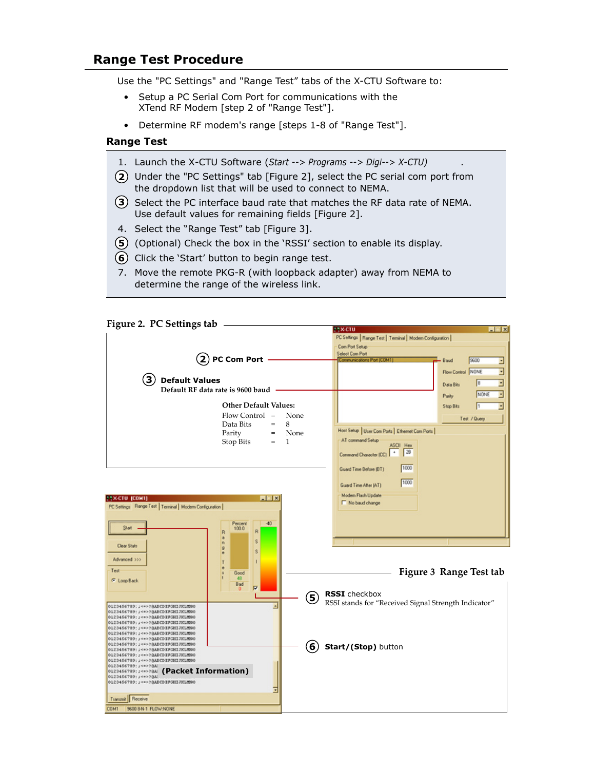# **Range Test Procedure**

Use the "PC Settings" and "Range Test" tabs of the X-CTU Software to:

- Setup a PC Serial Com Port for communications with the XTend RF Modem [step 2 of "Range Test"].
- Determine RF modem's range [steps 1-8 of "Range Test"].

#### **Range Test**

- 1. Launch the X-CTU Software (*Start --> Programs --> Digi--> X-CTU)* .
- Under the "PC Settings" tab [Figure 2], select the PC serial com port from **2** the dropdown list that will be used to connect to NEMA.
- **3**) Select the PC interface baud rate that matches the RF data rate of NEMA. Use default values for remaining fields [Figure 2].
- 4. Select the "Range Test" tab [Figure 3].
- (Optional) Check the box in the 'RSSI' section to enable its display. **5**
- **6**) Click the 'Start' button to begin range test.
- 7. Move the remote PKG-R (with loopback adapter) away from NEMA to determine the range of the wireless link.